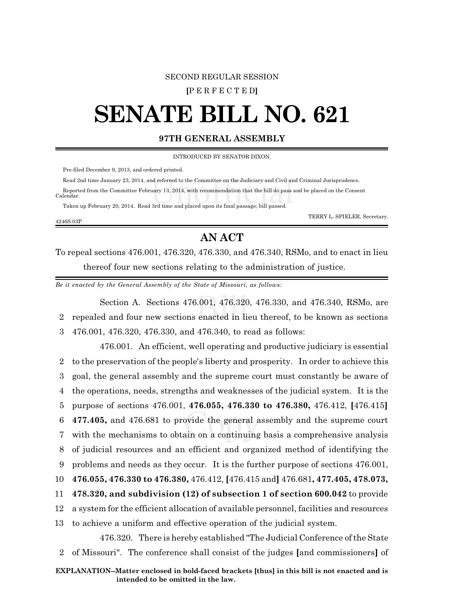### SECOND REGULAR SESSION

#### **[**P E R F E C T E D**]**

# **SENATE BILL NO. 621**

### **97TH GENERAL ASSEMBLY**

INTRODUCED BY SENATOR DIXON.

Pre-filed December 9, 2013, and ordered printed.

4246S.03P

 Read 2nd time January 23, 2014, and referred to the Committee on the Judiciary and Civil and Criminal Jurisprudence. Reported from the Committee February 13, 2014, with recommendation that the bill do pass and be placed on the Consent Calendar.

Taken up February 20, 2014. Read 3rd time and placed upon its final passage; bill passed.

TERRY L. SPIELER, Secretary.

## **AN ACT**

To repeal sections 476.001, 476.320, 476.330, and 476.340, RSMo, and to enact in lieu thereof four new sections relating to the administration of justice.

*Be it enacted by the General Assembly of the State of Missouri, as follows:*

Section A. Sections 476.001, 476.320, 476.330, and 476.340, RSMo, are 2 repealed and four new sections enacted in lieu thereof, to be known as sections 3 476.001, 476.320, 476.330, and 476.340, to read as follows:

476.001. An efficient, well operating and productive judiciary is essential to the preservation of the people's liberty and prosperity. In order to achieve this goal, the general assembly and the supreme court must constantly be aware of the operations, needs, strengths and weaknesses of the judicial system. It is the purpose of sections 476.001, **476.055, 476.330 to 476.380,** 476.412, **[**476.415**] 477.405,** and 476.681 to provide the general assembly and the supreme court with the mechanisms to obtain on a continuing basis a comprehensive analysis of judicial resources and an efficient and organized method of identifying the problems and needs as they occur. It is the further purpose of sections 476.001, **476.055, 476.330 to 476.380,** 476.412, **[**476.415 and**]** 476.681**, 477.405, 478.073, 478.320, and subdivision (12) of subsection 1 of section 600.042** to provide a system for the efficient allocation of available personnel, facilities and resources to achieve a uniform and effective operation of the judicial system. 476.320. There is hereby established "The Judicial Conference ofthe State

2 of Missouri". The conference shall consist of the judges **[**and commissioners**]** of

**EXPLANATION--Matter enclosed in bold-faced brackets [thus] in this bill is not enacted and is intended to be omitted in the law.**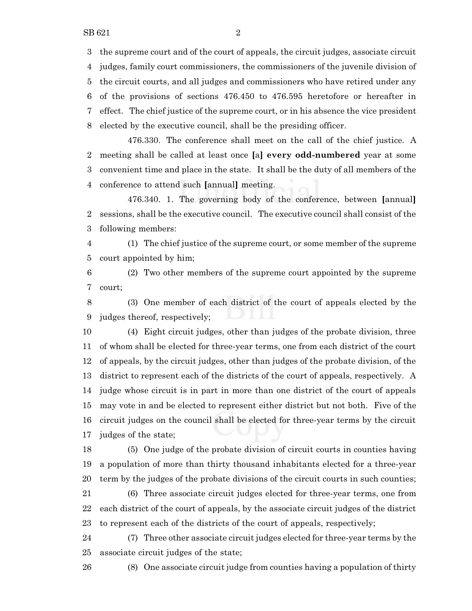the supreme court and of the court of appeals, the circuit judges, associate circuit judges, family court commissioners, the commissioners of the juvenile division of the circuit courts, and all judges and commissioners who have retired under any of the provisions of sections 476.450 to 476.595 heretofore or hereafter in effect. The chief justice of the supreme court, or in his absence the vice president elected by the executive council, shall be the presiding officer.

476.330. The conference shall meet on the call of the chief justice. A meeting shall be called at least once **[**a**] every odd-numbered** year at some convenient time and place in the state. It shall be the duty of all members of the conference to attend such **[**annual**]** meeting.

476.340. 1. The governing body of the conference, between **[**annual**]** sessions, shall be the executive council. The executive council shall consist of the following members:

 (1) The chief justice of the supreme court, or some member of the supreme court appointed by him;

 (2) Two other members of the supreme court appointed by the supreme court;

 (3) One member of each district of the court of appeals elected by the judges thereof, respectively;

 (4) Eight circuit judges, other than judges of the probate division, three of whom shall be elected for three-year terms, one from each district of the court of appeals, by the circuit judges, other than judges of the probate division, of the district to represent each of the districts of the court of appeals, respectively. A judge whose circuit is in part in more than one district of the court of appeals may vote in and be elected to represent either district but not both. Five of the circuit judges on the council shall be elected for three-year terms by the circuit judges of the state;

 (5) One judge of the probate division of circuit courts in counties having a population of more than thirty thousand inhabitants elected for a three-year term by the judges of the probate divisions of the circuit courts in such counties; (6) Three associate circuit judges elected for three-year terms, one from each district of the court of appeals, by the associate circuit judges of the district to represent each of the districts of the court of appeals, respectively;

 (7) Three other associate circuit judges elected for three-year terms by the associate circuit judges of the state;

(8) One associate circuit judge from counties having a population of thirty